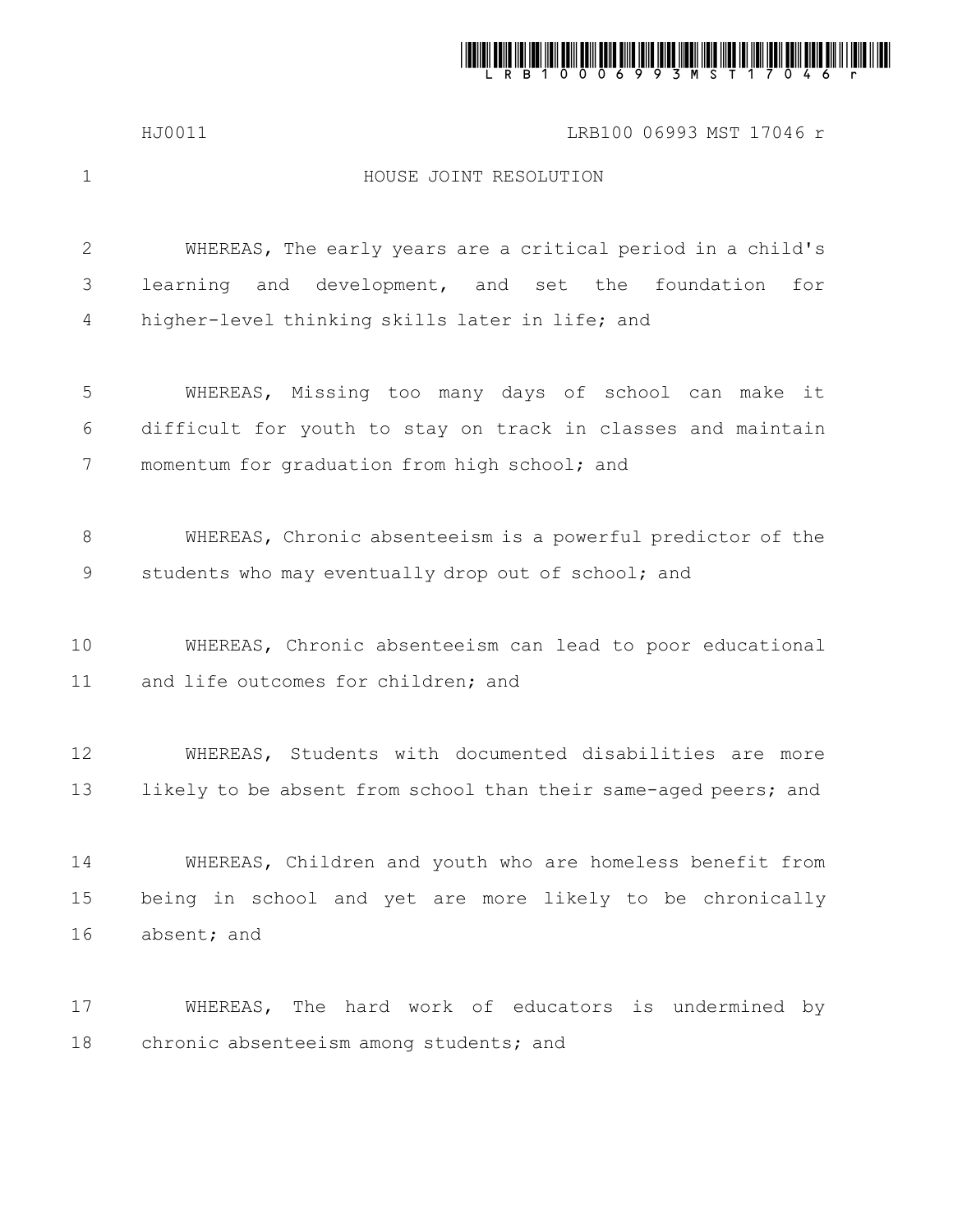

## HJ0011 LRB100 06993 MST 17046 r

1

## HOUSE JOINT RESOLUTION

WHEREAS, The early years are a critical period in a child's learning and development, and set the foundation for higher-level thinking skills later in life; and 2 3 4

WHEREAS, Missing too many days of school can make it difficult for youth to stay on track in classes and maintain momentum for graduation from high school; and 5 6 7

WHEREAS, Chronic absenteeism is a powerful predictor of the students who may eventually drop out of school; and 8 9

WHEREAS, Chronic absenteeism can lead to poor educational and life outcomes for children; and 10 11

WHEREAS, Students with documented disabilities are more likely to be absent from school than their same-aged peers; and 12 13

WHEREAS, Children and youth who are homeless benefit from being in school and yet are more likely to be chronically absent; and 14 15 16

WHEREAS, The hard work of educators is undermined by chronic absenteeism among students; and 17 18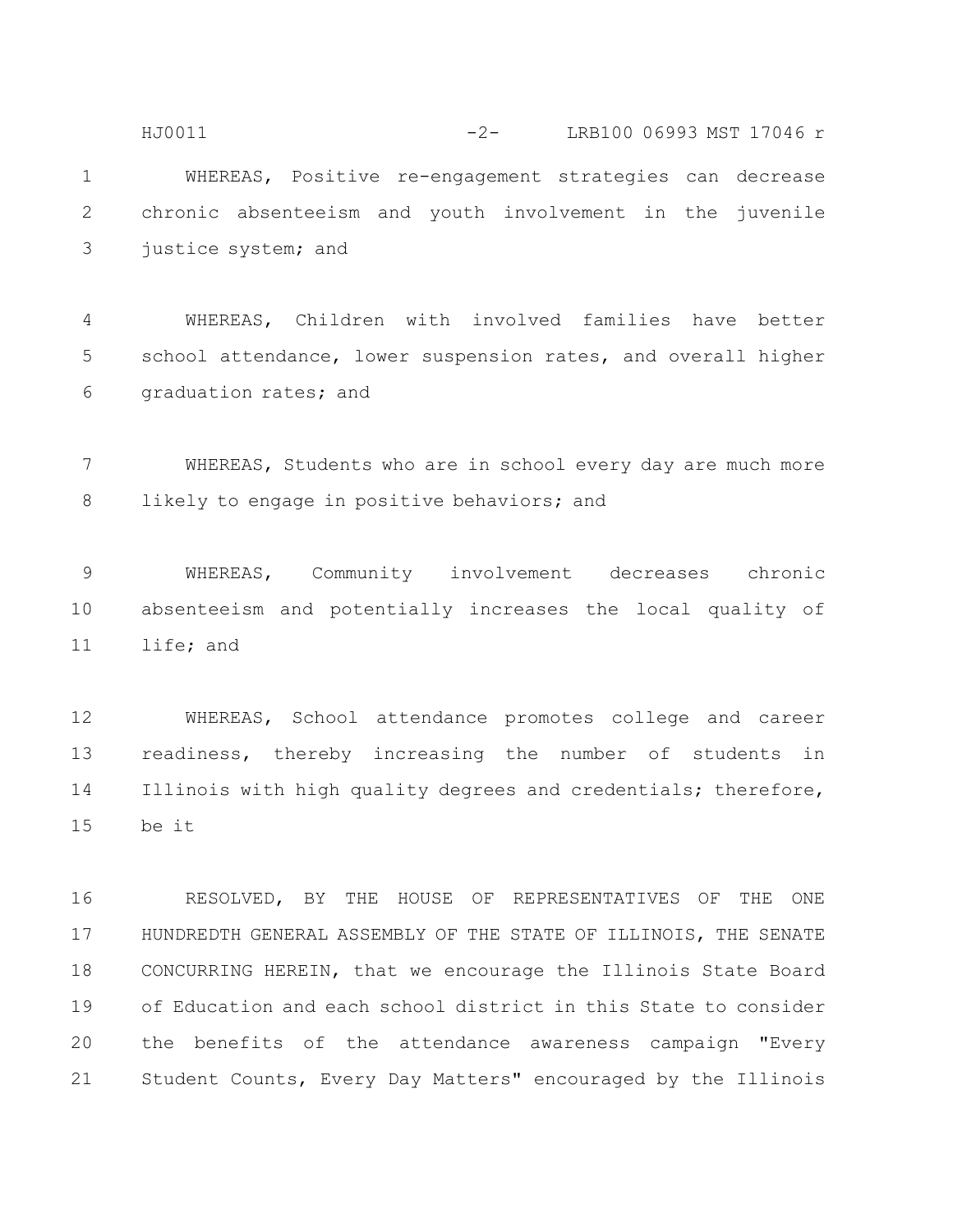WHEREAS, Positive re-engagement strategies can decrease chronic absenteeism and youth involvement in the juvenile justice system; and 1 2 3 HJ0011 -2- LRB100 06993 MST 17046 r

WHEREAS, Children with involved families have better school attendance, lower suspension rates, and overall higher graduation rates; and 4 5 6

WHEREAS, Students who are in school every day are much more likely to engage in positive behaviors; and 7 8

WHEREAS, Community involvement decreases chronic absenteeism and potentially increases the local quality of life; and 9 10 11

WHEREAS, School attendance promotes college and career readiness, thereby increasing the number of students in Illinois with high quality degrees and credentials; therefore, be it 12 13 14 15

RESOLVED, BY THE HOUSE OF REPRESENTATIVES OF THE ONE HUNDREDTH GENERAL ASSEMBLY OF THE STATE OF ILLINOIS, THE SENATE CONCURRING HEREIN, that we encourage the Illinois State Board of Education and each school district in this State to consider the benefits of the attendance awareness campaign "Every Student Counts, Every Day Matters" encouraged by the Illinois 16 17 18 19 20 21